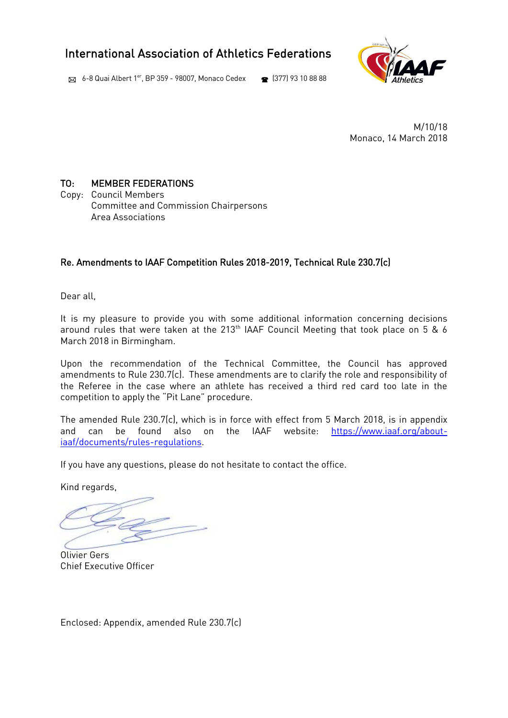# International Association of Athletics Federations

 $\boxtimes$  6-8 Quai Albert 1<sup>er</sup>, BP 359 - 98007, Monaco Cedex  $\bullet$  (377) 93 10 88 88



M/10/18 Monaco, 14 March 2018

## TO: MEMBER FEDERATIONS

Copy: Council Members Committee and Commission Chairpersons Area Associations

## Re. Amendments to IAAF Competition Rules 2018-2019, Technical Rule 230.7(c)

Dear all,

It is my pleasure to provide you with some additional information concerning decisions around rules that were taken at the 213<sup>th</sup> IAAF Council Meeting that took place on 5 & 6 March 2018 in Birmingham.

Upon the recommendation of the Technical Committee, the Council has approved amendments to Rule 230.7(c). These amendments are to clarify the role and responsibility of the Referee in the case where an athlete has received a third red card too late in the competition to apply the "Pit Lane" procedure.

The amended Rule 230.7(c), which is in force with effect from 5 March 2018, is in appendix and can be found also on the IAAF website: [https://www.iaaf.org/about](https://www.iaaf.org/about-iaaf/documents/rules-regulations)[iaaf/documents/rules-regulations.](https://www.iaaf.org/about-iaaf/documents/rules-regulations)

If you have any questions, please do not hesitate to contact the office.

Kind regards,

Olivier Gers Chief Executive Officer

Enclosed: Appendix, amended Rule 230.7(c)